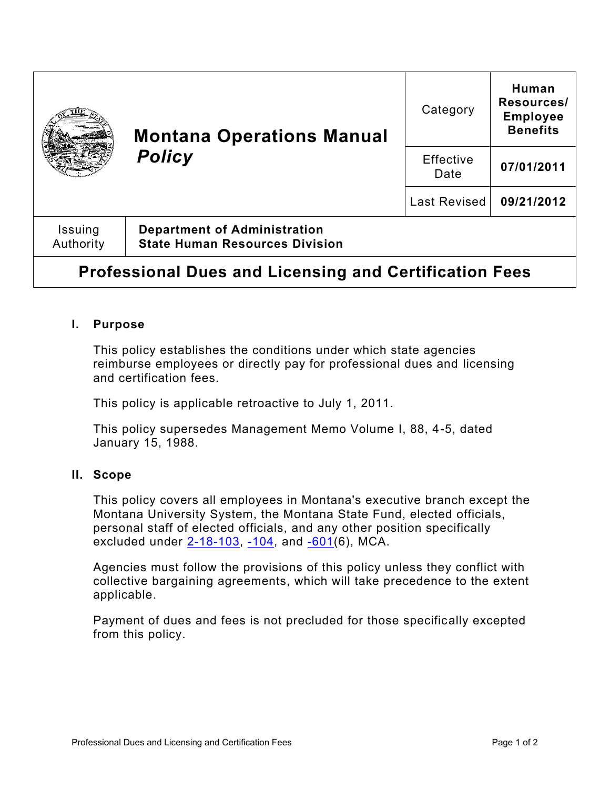|                                                               | <b>Montana Operations Manual</b><br><b>Policy</b>                            | Category            | Human<br>Resources/<br><b>Employee</b><br><b>Benefits</b> |
|---------------------------------------------------------------|------------------------------------------------------------------------------|---------------------|-----------------------------------------------------------|
|                                                               |                                                                              | Effective<br>Date   | 07/01/2011                                                |
|                                                               |                                                                              | <b>Last Revised</b> | 09/21/2012                                                |
| Issuing<br>Authority                                          | <b>Department of Administration</b><br><b>State Human Resources Division</b> |                     |                                                           |
| <b>Professional Dues and Licensing and Certification Fees</b> |                                                                              |                     |                                                           |

# **I. Purpose**

This policy establishes the conditions under which state agencies reimburse employees or directly pay for professional dues and licensing and certification fees.

This policy is applicable retroactive to July 1, 2011.

This policy supersedes Management Memo Volume I, 88, 4-5, dated January 15, 1988.

#### **II. Scope**

This policy covers all employees in Montana's executive branch except the Montana University System, the Montana State Fund, elected officials, personal staff of elected officials, and any other position specifically excluded under  $2 - 18 - 103$ ,  $-104$ , and  $-601(6)$ , MCA.

Agencies must follow the provisions of this policy unless they conflict with collective bargaining agreements, which will take precedence to the extent applicable.

Payment of dues and fees is not precluded for those specifically excepted from this policy.